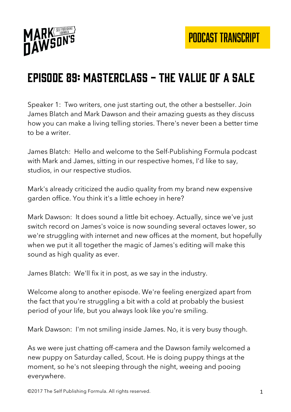

# Episode 89: Masterclass - the Value of a Sale

Speaker 1: Two writers, one just starting out, the other a bestseller. Join James Blatch and Mark Dawson and their amazing guests as they discuss how you can make a living telling stories. There's never been a better time to be a writer.

James Blatch: Hello and welcome to the Self-Publishing Formula podcast with Mark and James, sitting in our respective homes, I'd like to say, studios, in our respective studios.

Mark's already criticized the audio quality from my brand new expensive garden office. You think it's a little echoey in here?

Mark Dawson: It does sound a little bit echoey. Actually, since we've just switch record on James's voice is now sounding several octaves lower, so we're struggling with internet and new offices at the moment, but hopefully when we put it all together the magic of James's editing will make this sound as high quality as ever.

James Blatch: We'll fix it in post, as we say in the industry.

Welcome along to another episode. We're feeling energized apart from the fact that you're struggling a bit with a cold at probably the busiest period of your life, but you always look like you're smiling.

Mark Dawson: I'm not smiling inside James. No, it is very busy though.

As we were just chatting off-camera and the Dawson family welcomed a new puppy on Saturday called, Scout. He is doing puppy things at the moment, so he's not sleeping through the night, weeing and pooing everywhere.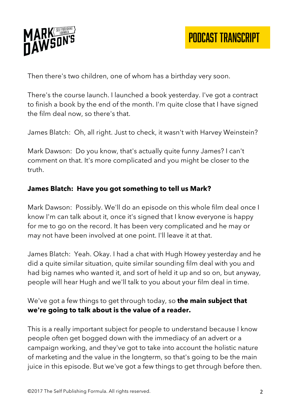

Then there's two children, one of whom has a birthday very soon.

There's the course launch. I launched a book yesterday. I've got a contract to finish a book by the end of the month. I'm quite close that I have signed the film deal now, so there's that.

James Blatch: Oh, all right. Just to check, it wasn't with Harvey Weinstein?

Mark Dawson: Do you know, that's actually quite funny James? I can't comment on that. It's more complicated and you might be closer to the truth.

#### **James Blatch: Have you got something to tell us Mark?**

Mark Dawson: Possibly. We'll do an episode on this whole film deal once I know I'm can talk about it, once it's signed that I know everyone is happy for me to go on the record. It has been very complicated and he may or may not have been involved at one point. I'll leave it at that.

James Blatch: Yeah. Okay. I had a chat with Hugh Howey yesterday and he did a quite similar situation, quite similar sounding film deal with you and had big names who wanted it, and sort of held it up and so on, but anyway, people will hear Hugh and we'll talk to you about your film deal in time.

#### We've got a few things to get through today, so **the main subject that we're going to talk about is the value of a reader.**

This is a really important subject for people to understand because I know people often get bogged down with the immediacy of an advert or a campaign working, and they've got to take into account the holistic nature of marketing and the value in the longterm, so that's going to be the main juice in this episode. But we've got a few things to get through before then.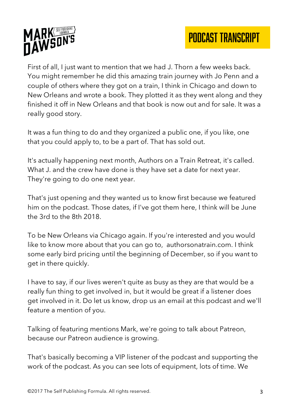



First of all, I just want to mention that we had J. Thorn a few weeks back. You might remember he did this amazing train journey with Jo Penn and a couple of others where they got on a train, I think in Chicago and down to New Orleans and wrote a book. They plotted it as they went along and they finished it off in New Orleans and that book is now out and for sale. It was a really good story.

It was a fun thing to do and they organized a public one, if you like, one that you could apply to, to be a part of. That has sold out.

It's actually happening next month, Authors on a Train Retreat, it's called. What J. and the crew have done is they have set a date for next year. They're going to do one next year.

That's just opening and they wanted us to know first because we featured him on the podcast. Those dates, if I've got them here, I think will be June the 3rd to the 8th 2018.

To be New Orleans via Chicago again. If you're interested and you would like to know more about that you can go to, authorsonatrain.com. I think some early bird pricing until the beginning of December, so if you want to get in there quickly.

I have to say, if our lives weren't quite as busy as they are that would be a really fun thing to get involved in, but it would be great if a listener does get involved in it. Do let us know, drop us an email at this podcast and we'll feature a mention of you.

Talking of featuring mentions Mark, we're going to talk about Patreon, because our Patreon audience is growing.

That's basically becoming a VIP listener of the podcast and supporting the work of the podcast. As you can see lots of equipment, lots of time. We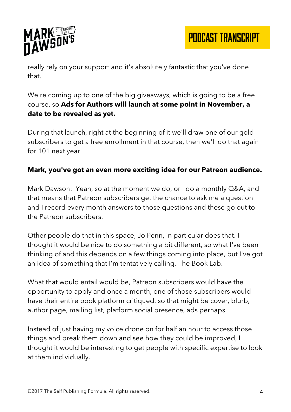

really rely on your support and it's absolutely fantastic that you've done that.

We're coming up to one of the big giveaways, which is going to be a free course, so **Ads for Authors will launch at some point in November, a date to be revealed as yet.** 

During that launch, right at the beginning of it we'll draw one of our gold subscribers to get a free enrollment in that course, then we'll do that again for 101 next year.

#### **Mark, you've got an even more exciting idea for our Patreon audience.**

Mark Dawson: Yeah, so at the moment we do, or I do a monthly Q&A, and that means that Patreon subscribers get the chance to ask me a question and I record every month answers to those questions and these go out to the Patreon subscribers.

Other people do that in this space, Jo Penn, in particular does that. I thought it would be nice to do something a bit different, so what I've been thinking of and this depends on a few things coming into place, but I've got an idea of something that I'm tentatively calling, The Book Lab.

What that would entail would be, Patreon subscribers would have the opportunity to apply and once a month, one of those subscribers would have their entire book platform critiqued, so that might be cover, blurb, author page, mailing list, platform social presence, ads perhaps.

Instead of just having my voice drone on for half an hour to access those things and break them down and see how they could be improved, I thought it would be interesting to get people with specific expertise to look at them individually.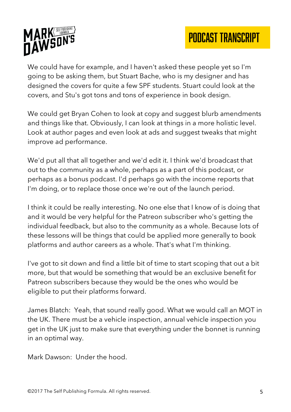

We could have for example, and I haven't asked these people yet so I'm going to be asking them, but Stuart Bache, who is my designer and has designed the covers for quite a few SPF students. Stuart could look at the covers, and Stu's got tons and tons of experience in book design.

We could get Bryan Cohen to look at copy and suggest blurb amendments and things like that. Obviously, I can look at things in a more holistic level. Look at author pages and even look at ads and suggest tweaks that might improve ad performance.

We'd put all that all together and we'd edit it. I think we'd broadcast that out to the community as a whole, perhaps as a part of this podcast, or perhaps as a bonus podcast. I'd perhaps go with the income reports that I'm doing, or to replace those once we're out of the launch period.

I think it could be really interesting. No one else that I know of is doing that and it would be very helpful for the Patreon subscriber who's getting the individual feedback, but also to the community as a whole. Because lots of these lessons will be things that could be applied more generally to book platforms and author careers as a whole. That's what I'm thinking.

I've got to sit down and find a little bit of time to start scoping that out a bit more, but that would be something that would be an exclusive benefit for Patreon subscribers because they would be the ones who would be eligible to put their platforms forward.

James Blatch: Yeah, that sound really good. What we would call an MOT in the UK. There must be a vehicle inspection, annual vehicle inspection you get in the UK just to make sure that everything under the bonnet is running in an optimal way.

Mark Dawson: Under the hood.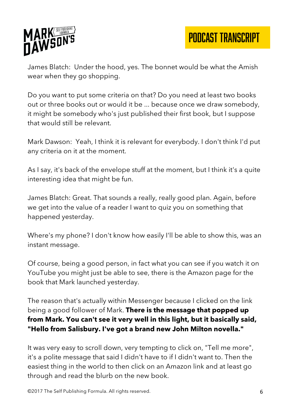

James Blatch: Under the hood, yes. The bonnet would be what the Amish wear when they go shopping.

Do you want to put some criteria on that? Do you need at least two books out or three books out or would it be ... because once we draw somebody, it might be somebody who's just published their first book, but I suppose that would still be relevant.

Mark Dawson: Yeah, I think it is relevant for everybody. I don't think I'd put any criteria on it at the moment.

As I say, it's back of the envelope stuff at the moment, but I think it's a quite interesting idea that might be fun.

James Blatch: Great. That sounds a really, really good plan. Again, before we get into the value of a reader I want to quiz you on something that happened yesterday.

Where's my phone? I don't know how easily I'll be able to show this, was an instant message.

Of course, being a good person, in fact what you can see if you watch it on YouTube you might just be able to see, there is the Amazon page for the book that Mark launched yesterday.

The reason that's actually within Messenger because I clicked on the link being a good follower of Mark. **There is the message that popped up from Mark. You can't see it very well in this light, but it basically said, "Hello from Salisbury. I've got a brand new John Milton novella."**

It was very easy to scroll down, very tempting to click on, "Tell me more", it's a polite message that said I didn't have to if I didn't want to. Then the easiest thing in the world to then click on an Amazon link and at least go through and read the blurb on the new book.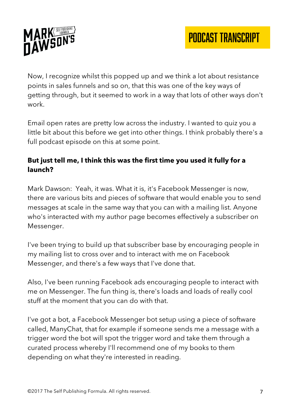

Now, I recognize whilst this popped up and we think a lot about resistance points in sales funnels and so on, that this was one of the key ways of getting through, but it seemed to work in a way that lots of other ways don't work.

Email open rates are pretty low across the industry. I wanted to quiz you a little bit about this before we get into other things. I think probably there's a full podcast episode on this at some point.

## **But just tell me, I think this was the first time you used it fully for a launch?**

Mark Dawson: Yeah, it was. What it is, it's Facebook Messenger is now, there are various bits and pieces of software that would enable you to send messages at scale in the same way that you can with a mailing list. Anyone who's interacted with my author page becomes effectively a subscriber on Messenger.

I've been trying to build up that subscriber base by encouraging people in my mailing list to cross over and to interact with me on Facebook Messenger, and there's a few ways that I've done that.

Also, I've been running Facebook ads encouraging people to interact with me on Messenger. The fun thing is, there's loads and loads of really cool stuff at the moment that you can do with that.

I've got a bot, a Facebook Messenger bot setup using a piece of software called, ManyChat, that for example if someone sends me a message with a trigger word the bot will spot the trigger word and take them through a curated process whereby I'll recommend one of my books to them depending on what they're interested in reading.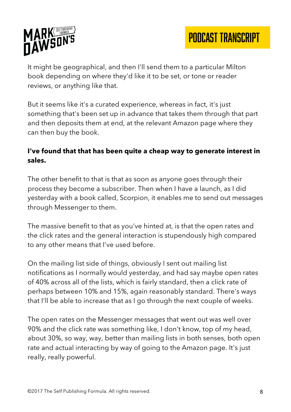

It might be geographical, and then I'll send them to a particular Milton book depending on where they'd like it to be set, or tone or reader reviews, or anything like that.

But it seems like it's a curated experience, whereas in fact, it's just something that's been set up in advance that takes them through that part and then deposits them at end, at the relevant Amazon page where they can then buy the book.

#### **I've found that that has been quite a cheap way to generate interest in sales.**

The other benefit to that is that as soon as anyone goes through their process they become a subscriber. Then when I have a launch, as I did yesterday with a book called, Scorpion, it enables me to send out messages through Messenger to them.

The massive benefit to that as you've hinted at, is that the open rates and the click rates and the general interaction is stupendously high compared to any other means that I've used before.

On the mailing list side of things, obviously I sent out mailing list notifications as I normally would yesterday, and had say maybe open rates of 40% across all of the lists, which is fairly standard, then a click rate of perhaps between 10% and 15%, again reasonably standard. There's ways that I'll be able to increase that as I go through the next couple of weeks.

The open rates on the Messenger messages that went out was well over 90% and the click rate was something like, I don't know, top of my head, about 30%, so way, way, better than mailing lists in both senses, both open rate and actual interacting by way of going to the Amazon page. It's just really, really powerful.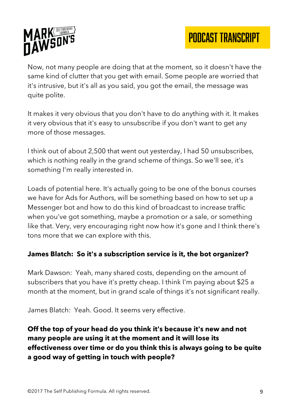

Now, not many people are doing that at the moment, so it doesn't have the same kind of clutter that you get with email. Some people are worried that it's intrusive, but it's all as you said, you got the email, the message was quite polite.

It makes it very obvious that you don't have to do anything with it. It makes it very obvious that it's easy to unsubscribe if you don't want to get any more of those messages.

I think out of about 2,500 that went out yesterday, I had 50 unsubscribes, which is nothing really in the grand scheme of things. So we'll see, it's something I'm really interested in.

Loads of potential here. It's actually going to be one of the bonus courses we have for Ads for Authors, will be something based on how to set up a Messenger bot and how to do this kind of broadcast to increase traffic when you've got something, maybe a promotion or a sale, or something like that. Very, very encouraging right now how it's gone and I think there's tons more that we can explore with this.

#### **James Blatch: So it's a subscription service is it, the bot organizer?**

Mark Dawson: Yeah, many shared costs, depending on the amount of subscribers that you have it's pretty cheap. I think I'm paying about \$25 a month at the moment, but in grand scale of things it's not significant really.

James Blatch: Yeah. Good. It seems very effective.

## **Off the top of your head do you think it's because it's new and not many people are using it at the moment and it will lose its effectiveness over time or do you think this is always going to be quite a good way of getting in touch with people?**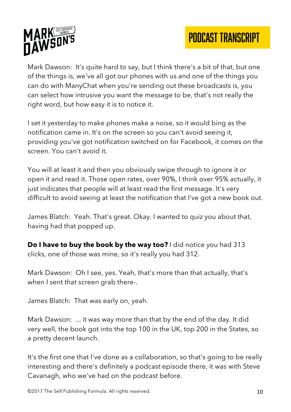# PODCAST TRANSCRIPT



Mark Dawson: It's quite hard to say, but I think there's a bit of that, but one of the things is, we've all got our phones with us and one of the things you can do with ManyChat when you're sending out these broadcasts is, you can select how intrusive you want the message to be, that's not really the right word, but how easy it is to notice it.

I set it yesterday to make phones make a noise, so it would bing as the notification came in. It's on the screen so you can't avoid seeing it, providing you've got notification switched on for Facebook, it comes on the screen. You can't avoid it.

You will at least it and then you obviously swipe through to ignore it or open it and read it. Those open rates, over 90%, I think over 95% actually, it just indicates that people will at least read the first message. It's very difficult to avoid seeing at least the notification that I've got a new book out.

James Blatch: Yeah. That's great. Okay. I wanted to quiz you about that, having had that popped up.

**Do I have to buy the book by the way too?** I did notice you had 313 clicks, one of those was mine, so it's really you had 312.

Mark Dawson: Oh I see, yes. Yeah, that's more than that actually, that's when I sent that screen grab there-.

James Blatch: That was early on, yeah.

Mark Dawson: ... it was way more than that by the end of the day. It did very well, the book got into the top 100 in the UK, top 200 in the States, so a pretty decent launch.

It's the first one that I've done as a collaboration, so that's going to be really interesting and there's definitely a podcast episode there, it was with Steve Cavanagh, who we've had on the podcast before.

©2017 The Self Publishing Formula. All rights reserved. 10 10 10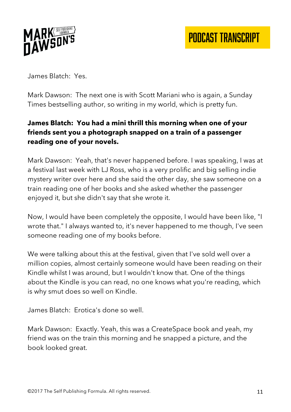

James Blatch: Yes.

Mark Dawson: The next one is with Scott Mariani who is again, a Sunday Times bestselling author, so writing in my world, which is pretty fun.

## **James Blatch: You had a mini thrill this morning when one of your friends sent you a photograph snapped on a train of a passenger reading one of your novels.**

Mark Dawson: Yeah, that's never happened before. I was speaking, I was at a festival last week with LJ Ross, who is a very prolific and big selling indie mystery writer over here and she said the other day, she saw someone on a train reading one of her books and she asked whether the passenger enjoyed it, but she didn't say that she wrote it.

Now, I would have been completely the opposite, I would have been like, "I wrote that." I always wanted to, it's never happened to me though, I've seen someone reading one of my books before.

We were talking about this at the festival, given that I've sold well over a million copies, almost certainly someone would have been reading on their Kindle whilst I was around, but I wouldn't know that. One of the things about the Kindle is you can read, no one knows what you're reading, which is why smut does so well on Kindle.

James Blatch: Erotica's done so well.

Mark Dawson: Exactly. Yeah, this was a CreateSpace book and yeah, my friend was on the train this morning and he snapped a picture, and the book looked great.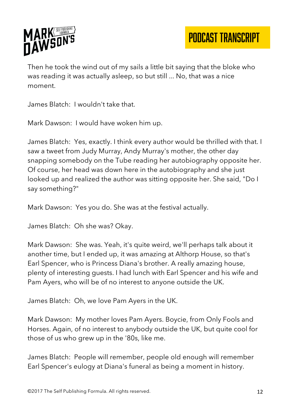

PODCAST TRANSCRIPT

Then he took the wind out of my sails a little bit saying that the bloke who was reading it was actually asleep, so but still ... No, that was a nice moment.

James Blatch: I wouldn't take that.

Mark Dawson: I would have woken him up.

James Blatch: Yes, exactly. I think every author would be thrilled with that. I saw a tweet from Judy Murray, Andy Murray's mother, the other day snapping somebody on the Tube reading her autobiography opposite her. Of course, her head was down here in the autobiography and she just looked up and realized the author was sitting opposite her. She said, "Do I say something?"

Mark Dawson: Yes you do. She was at the festival actually.

James Blatch: Oh she was? Okay.

Mark Dawson: She was. Yeah, it's quite weird, we'll perhaps talk about it another time, but I ended up, it was amazing at Althorp House, so that's Earl Spencer, who is Princess Diana's brother. A really amazing house, plenty of interesting guests. I had lunch with Earl Spencer and his wife and Pam Ayers, who will be of no interest to anyone outside the UK.

James Blatch: Oh, we love Pam Ayers in the UK.

Mark Dawson: My mother loves Pam Ayers. Boycie, from Only Fools and Horses. Again, of no interest to anybody outside the UK, but quite cool for those of us who grew up in the '80s, like me.

James Blatch: People will remember, people old enough will remember Earl Spencer's eulogy at Diana's funeral as being a moment in history.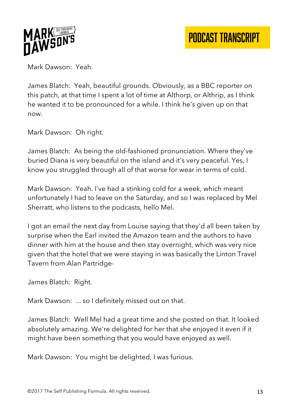

Mark Dawson: Yeah.

James Blatch: Yeah, beautiful grounds. Obviously, as a BBC reporter on this patch, at that time I spent a lot of time at Althorp, or Althrip, as I think he wanted it to be pronounced for a while. I think he's given up on that now.

Mark Dawson: Oh right.

James Blatch: As being the old-fashioned pronunciation. Where they've buried Diana is very beautiful on the island and it's very peaceful. Yes, I know you struggled through all of that worse for wear in terms of cold.

Mark Dawson: Yeah. I've had a stinking cold for a week, which meant unfortunately I had to leave on the Saturday, and so I was replaced by Mel Sherratt, who listens to the podcasts, hello Mel.

I got an email the next day from Louise saying that they'd all been taken by surprise when the Earl invited the Amazon team and the authors to have dinner with him at the house and then stay overnight, which was very nice given that the hotel that we were staying in was basically the Linton Travel Tavern from Alan Partridge-

James Blatch: Right.

Mark Dawson: ... so I definitely missed out on that.

James Blatch: Well Mel had a great time and she posted on that. It looked absolutely amazing. We're delighted for her that she enjoyed it even if it might have been something that you would have enjoyed as well.

Mark Dawson: You might be delighted, I was furious.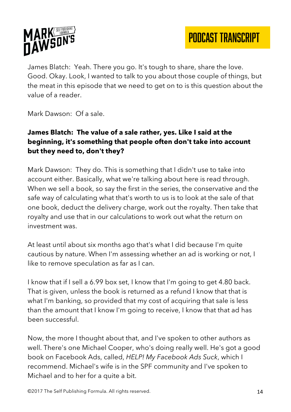

PODCAST TRANSCRIPT

James Blatch: Yeah. There you go. It's tough to share, share the love. Good. Okay. Look, I wanted to talk to you about those couple of things, but the meat in this episode that we need to get on to is this question about the value of a reader.

Mark Dawson: Of a sale.

## **James Blatch: The value of a sale rather, yes. Like I said at the beginning, it's something that people often don't take into account but they need to, don't they?**

Mark Dawson: They do. This is something that I didn't use to take into account either. Basically, what we're talking about here is read through. When we sell a book, so say the first in the series, the conservative and the safe way of calculating what that's worth to us is to look at the sale of that one book, deduct the delivery charge, work out the royalty. Then take that royalty and use that in our calculations to work out what the return on investment was.

At least until about six months ago that's what I did because I'm quite cautious by nature. When I'm assessing whether an ad is working or not, I like to remove speculation as far as I can.

I know that if I sell a 6.99 box set, I know that I'm going to get 4.80 back. That is given, unless the book is returned as a refund I know that that is what I'm banking, so provided that my cost of acquiring that sale is less than the amount that I know I'm going to receive, I know that that ad has been successful.

Now, the more I thought about that, and I've spoken to other authors as well. There's one Michael Cooper, who's doing really well. He's got a good book on Facebook Ads, called, *HELP! My Facebook Ads Suck*, which I recommend. Michael's wife is in the SPF community and I've spoken to Michael and to her for a quite a bit.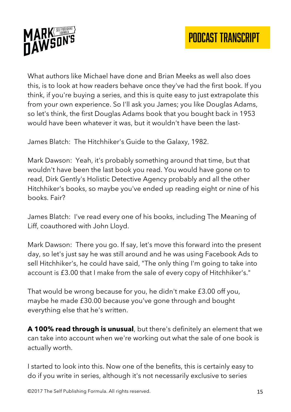

What authors like Michael have done and Brian Meeks as well also does this, is to look at how readers behave once they've had the first book. If you think, if you're buying a series, and this is quite easy to just extrapolate this from your own experience. So I'll ask you James; you like Douglas Adams, so let's think, the first Douglas Adams book that you bought back in 1953 would have been whatever it was, but it wouldn't have been the last-

James Blatch: The Hitchhiker's Guide to the Galaxy, 1982.

Mark Dawson: Yeah, it's probably something around that time, but that wouldn't have been the last book you read. You would have gone on to read, Dirk Gently's Holistic Detective Agency probably and all the other Hitchhiker's books, so maybe you've ended up reading eight or nine of his books. Fair?

James Blatch: I've read every one of his books, including The Meaning of Liff, coauthored with John Lloyd.

Mark Dawson: There you go. If say, let's move this forward into the present day, so let's just say he was still around and he was using Facebook Ads to sell Hitchhiker's, he could have said, "The only thing I'm going to take into account is £3.00 that I make from the sale of every copy of Hitchhiker's."

That would be wrong because for you, he didn't make £3.00 off you, maybe he made £30.00 because you've gone through and bought everything else that he's written.

**A 100% read through is unusual**, but there's definitely an element that we can take into account when we're working out what the sale of one book is actually worth.

I started to look into this. Now one of the benefits, this is certainly easy to do if you write in series, although it's not necessarily exclusive to series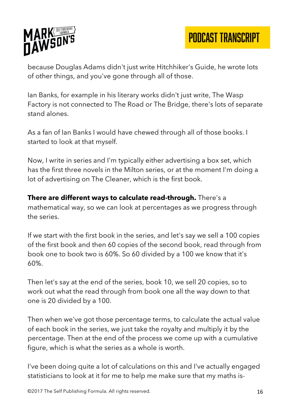

because Douglas Adams didn't just write Hitchhiker's Guide, he wrote lots of other things, and you've gone through all of those.

Ian Banks, for example in his literary works didn't just write, The Wasp Factory is not connected to The Road or The Bridge, there's lots of separate stand alones.

As a fan of Ian Banks I would have chewed through all of those books. I started to look at that myself.

Now, I write in series and I'm typically either advertising a box set, which has the first three novels in the Milton series, or at the moment I'm doing a lot of advertising on The Cleaner, which is the first book.

**There are different ways to calculate read-through.** There's a mathematical way, so we can look at percentages as we progress through the series.

If we start with the first book in the series, and let's say we sell a 100 copies of the first book and then 60 copies of the second book, read through from book one to book two is 60%. So 60 divided by a 100 we know that it's 60%.

Then let's say at the end of the series, book 10, we sell 20 copies, so to work out what the read through from book one all the way down to that one is 20 divided by a 100.

Then when we've got those percentage terms, to calculate the actual value of each book in the series, we just take the royalty and multiply it by the percentage. Then at the end of the process we come up with a cumulative figure, which is what the series as a whole is worth.

I've been doing quite a lot of calculations on this and I've actually engaged statisticians to look at it for me to help me make sure that my maths is-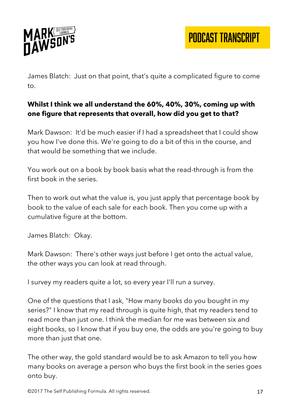

James Blatch: Just on that point, that's quite a complicated figure to come to.

# **Whilst I think we all understand the 60%, 40%, 30%, coming up with one figure that represents that overall, how did you get to that?**

Mark Dawson: It'd be much easier if I had a spreadsheet that I could show you how I've done this. We're going to do a bit of this in the course, and that would be something that we include.

You work out on a book by book basis what the read-through is from the first book in the series.

Then to work out what the value is, you just apply that percentage book by book to the value of each sale for each book. Then you come up with a cumulative figure at the bottom.

James Blatch: Okay.

Mark Dawson: There's other ways just before I get onto the actual value, the other ways you can look at read through.

I survey my readers quite a lot, so every year I'll run a survey.

One of the questions that I ask, "How many books do you bought in my series?" I know that my read through is quite high, that my readers tend to read more than just one. I think the median for me was between six and eight books, so I know that if you buy one, the odds are you're going to buy more than just that one.

The other way, the gold standard would be to ask Amazon to tell you how many books on average a person who buys the first book in the series goes onto buy.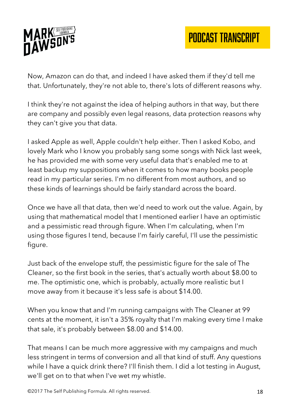

Now, Amazon can do that, and indeed I have asked them if they'd tell me that. Unfortunately, they're not able to, there's lots of different reasons why.

I think they're not against the idea of helping authors in that way, but there are company and possibly even legal reasons, data protection reasons why they can't give you that data.

I asked Apple as well, Apple couldn't help either. Then I asked Kobo, and lovely Mark who I know you probably sang some songs with Nick last week, he has provided me with some very useful data that's enabled me to at least backup my suppositions when it comes to how many books people read in my particular series. I'm no different from most authors, and so these kinds of learnings should be fairly standard across the board.

Once we have all that data, then we'd need to work out the value. Again, by using that mathematical model that I mentioned earlier I have an optimistic and a pessimistic read through figure. When I'm calculating, when I'm using those figures I tend, because I'm fairly careful, I'll use the pessimistic figure.

Just back of the envelope stuff, the pessimistic figure for the sale of The Cleaner, so the first book in the series, that's actually worth about \$8.00 to me. The optimistic one, which is probably, actually more realistic but I move away from it because it's less safe is about \$14.00.

When you know that and I'm running campaigns with The Cleaner at 99 cents at the moment, it isn't a 35% royalty that I'm making every time I make that sale, it's probably between \$8.00 and \$14.00.

That means I can be much more aggressive with my campaigns and much less stringent in terms of conversion and all that kind of stuff. Any questions while I have a quick drink there? I'll finish them. I did a lot testing in August, we'll get on to that when I've wet my whistle.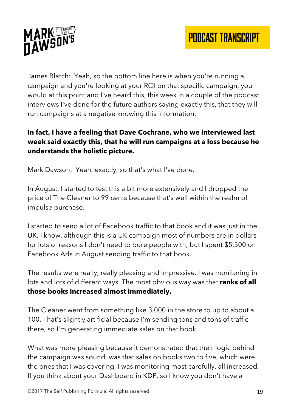

James Blatch: Yeah, so the bottom line here is when you're running a campaign and you're looking at your ROI on that specific campaign, you would at this point and I've heard this, this week in a couple of the podcast interviews I've done for the future authors saying exactly this, that they will run campaigns at a negative knowing this information.

# **In fact, I have a feeling that Dave Cochrane, who we interviewed last week said exactly this, that he will run campaigns at a loss because he understands the holistic picture.**

Mark Dawson: Yeah, exactly, so that's what I've done.

In August, I started to test this a bit more extensively and I dropped the price of The Cleaner to 99 cents because that's well within the realm of impulse purchase.

I started to send a lot of Facebook traffic to that book and it was just in the UK. I know, although this is a UK campaign most of numbers are in dollars for lots of reasons I don't need to bore people with, but I spent \$5,500 on Facebook Ads in August sending traffic to that book.

The results were really, really pleasing and impressive. I was monitoring in lots and lots of different ways. The most obvious way was that **ranks of all those books increased almost immediately.** 

The Cleaner went from something like 3,000 in the store to up to about a 100. That's slightly artificial because I'm sending tons and tons of traffic there, so I'm generating immediate sales on that book.

What was more pleasing because it demonstrated that their logic behind the campaign was sound, was that sales on books two to five, which were the ones that I was covering, I was monitoring most carefully, all increased. If you think about your Dashboard in KDP, so I know you don't have a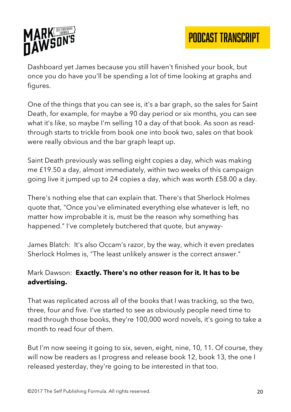

Dashboard yet James because you still haven't finished your book, but once you do have you'll be spending a lot of time looking at graphs and figures.

One of the things that you can see is, it's a bar graph, so the sales for Saint Death, for example, for maybe a 90 day period or six months, you can see what it's like, so maybe I'm selling 10 a day of that book. As soon as readthrough starts to trickle from book one into book two, sales on that book were really obvious and the bar graph leapt up.

Saint Death previously was selling eight copies a day, which was making me £19.50 a day, almost immediately, within two weeks of this campaign going live it jumped up to 24 copies a day, which was worth £58.00 a day.

There's nothing else that can explain that. There's that Sherlock Holmes quote that, "Once you've eliminated everything else whatever is left, no matter how improbable it is, must be the reason why something has happened." I've completely butchered that quote, but anyway-

James Blatch: It's also Occam's razor, by the way, which it even predates Sherlock Holmes is, "The least unlikely answer is the correct answer."

#### Mark Dawson: **Exactly. There's no other reason for it. It has to be advertising.**

That was replicated across all of the books that I was tracking, so the two, three, four and five. I've started to see as obviously people need time to read through those books, they're 100,000 word novels, it's going to take a month to read four of them.

But I'm now seeing it going to six, seven, eight, nine, 10, 11. Of course, they will now be readers as I progress and release book 12, book 13, the one I released yesterday, they're going to be interested in that too.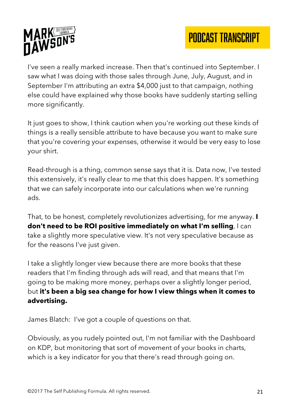



I've seen a really marked increase. Then that's continued into September. I saw what I was doing with those sales through June, July, August, and in September I'm attributing an extra \$4,000 just to that campaign, nothing else could have explained why those books have suddenly starting selling more significantly.

It just goes to show, I think caution when you're working out these kinds of things is a really sensible attribute to have because you want to make sure that you're covering your expenses, otherwise it would be very easy to lose your shirt.

Read-through is a thing, common sense says that it is. Data now, I've tested this extensively, it's really clear to me that this does happen. It's something that we can safely incorporate into our calculations when we're running ads.

That, to be honest, completely revolutionizes advertising, for me anyway. **I don't need to be ROI positive immediately on what I'm selling**, I can take a slightly more speculative view. It's not very speculative because as for the reasons I've just given.

I take a slightly longer view because there are more books that these readers that I'm finding through ads will read, and that means that I'm going to be making more money, perhaps over a slightly longer period, but **it's been a big sea change for how I view things when it comes to advertising.**

James Blatch: I've got a couple of questions on that.

Obviously, as you rudely pointed out, I'm not familiar with the Dashboard on KDP, but monitoring that sort of movement of your books in charts, which is a key indicator for you that there's read through going on.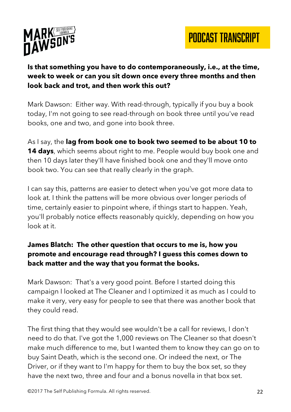



#### **Is that something you have to do contemporaneously, i.e., at the time, week to week or can you sit down once every three months and then look back and trot, and then work this out?**

Mark Dawson: Either way. With read-through, typically if you buy a book today, I'm not going to see read-through on book three until you've read books, one and two, and gone into book three.

As I say, the **lag from book one to book two seemed to be about 10 to 14 days**, which seems about right to me. People would buy book one and then 10 days later they'll have finished book one and they'll move onto book two. You can see that really clearly in the graph.

I can say this, patterns are easier to detect when you've got more data to look at. I think the pattens will be more obvious over longer periods of time, certainly easier to pinpoint where, if things start to happen. Yeah, you'll probably notice effects reasonably quickly, depending on how you look at it.

#### **James Blatch: The other question that occurs to me is, how you promote and encourage read through? I guess this comes down to back matter and the way that you format the books.**

Mark Dawson: That's a very good point. Before I started doing this campaign I looked at The Cleaner and I optimized it as much as I could to make it very, very easy for people to see that there was another book that they could read.

The first thing that they would see wouldn't be a call for reviews, I don't need to do that. I've got the 1,000 reviews on The Cleaner so that doesn't make much difference to me, but I wanted them to know they can go on to buy Saint Death, which is the second one. Or indeed the next, or The Driver, or if they want to I'm happy for them to buy the box set, so they have the next two, three and four and a bonus novella in that box set.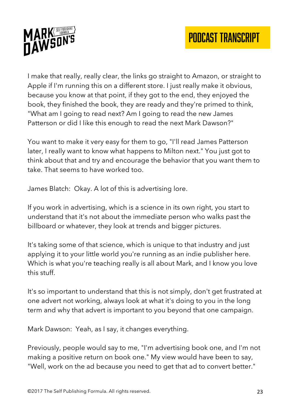

I make that really, really clear, the links go straight to Amazon, or straight to Apple if I'm running this on a different store. I just really make it obvious, because you know at that point, if they got to the end, they enjoyed the book, they finished the book, they are ready and they're primed to think, "What am I going to read next? Am I going to read the new James Patterson or did I like this enough to read the next Mark Dawson?"

You want to make it very easy for them to go, "I'll read James Patterson later, I really want to know what happens to Milton next." You just got to think about that and try and encourage the behavior that you want them to take. That seems to have worked too.

James Blatch: Okay. A lot of this is advertising lore.

If you work in advertising, which is a science in its own right, you start to understand that it's not about the immediate person who walks past the billboard or whatever, they look at trends and bigger pictures.

It's taking some of that science, which is unique to that industry and just applying it to your little world you're running as an indie publisher here. Which is what you're teaching really is all about Mark, and I know you love this stuff.

It's so important to understand that this is not simply, don't get frustrated at one advert not working, always look at what it's doing to you in the long term and why that advert is important to you beyond that one campaign.

Mark Dawson: Yeah, as I say, it changes everything.

Previously, people would say to me, "I'm advertising book one, and I'm not making a positive return on book one." My view would have been to say, "Well, work on the ad because you need to get that ad to convert better."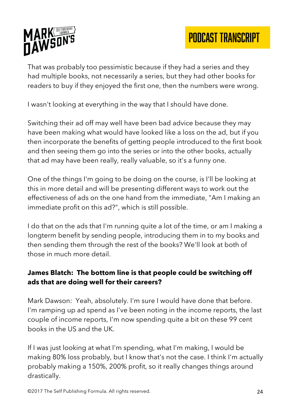

That was probably too pessimistic because if they had a series and they had multiple books, not necessarily a series, but they had other books for readers to buy if they enjoyed the first one, then the numbers were wrong.

I wasn't looking at everything in the way that I should have done.

Switching their ad off may well have been bad advice because they may have been making what would have looked like a loss on the ad, but if you then incorporate the benefits of getting people introduced to the first book and then seeing them go into the series or into the other books, actually that ad may have been really, really valuable, so it's a funny one.

One of the things I'm going to be doing on the course, is I'll be looking at this in more detail and will be presenting different ways to work out the effectiveness of ads on the one hand from the immediate, "Am I making an immediate profit on this ad?", which is still possible.

I do that on the ads that I'm running quite a lot of the time, or am I making a longterm benefit by sending people, introducing them in to my books and then sending them through the rest of the books? We'll look at both of those in much more detail.

## **James Blatch: The bottom line is that people could be switching off ads that are doing well for their careers?**

Mark Dawson: Yeah, absolutely. I'm sure I would have done that before. I'm ramping up ad spend as I've been noting in the income reports, the last couple of income reports, I'm now spending quite a bit on these 99 cent books in the US and the UK.

If I was just looking at what I'm spending, what I'm making, I would be making 80% loss probably, but I know that's not the case. I think I'm actually probably making a 150%, 200% profit, so it really changes things around drastically.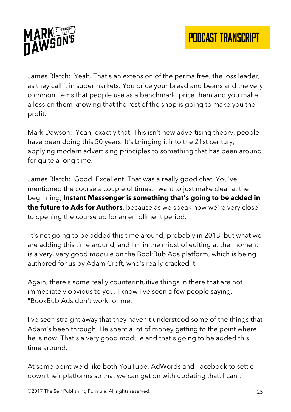

James Blatch: Yeah. That's an extension of the perma free, the loss leader, as they call it in supermarkets. You price your bread and beans and the very common items that people use as a benchmark, price them and you make a loss on them knowing that the rest of the shop is going to make you the profit.

Mark Dawson: Yeah, exactly that. This isn't new advertising theory, people have been doing this 50 years. It's bringing it into the 21st century, applying modern advertising principles to something that has been around for quite a long time.

James Blatch: Good. Excellent. That was a really good chat. You've mentioned the course a couple of times. I want to just make clear at the beginning, **Instant Messenger is something that's going to be added in the future to Ads for Authors**, because as we speak now we're very close to opening the course up for an enrollment period.

It's not going to be added this time around, probably in 2018, but what we are adding this time around, and I'm in the midst of editing at the moment, is a very, very good module on the BookBub Ads platform, which is being authored for us by Adam Croft, who's really cracked it.

Again, there's some really counterintuitive things in there that are not immediately obvious to you. I know I've seen a few people saying, "BookBub Ads don't work for me."

I've seen straight away that they haven't understood some of the things that Adam's been through. He spent a lot of money getting to the point where he is now. That's a very good module and that's going to be added this time around.

At some point we'd like both YouTube, AdWords and Facebook to settle down their platforms so that we can get on with updating that. I can't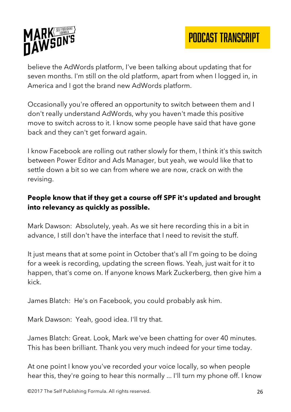

believe the AdWords platform, I've been talking about updating that for seven months. I'm still on the old platform, apart from when I logged in, in America and I got the brand new AdWords platform.

Occasionally you're offered an opportunity to switch between them and I don't really understand AdWords, why you haven't made this positive move to switch across to it. I know some people have said that have gone back and they can't get forward again.

I know Facebook are rolling out rather slowly for them, I think it's this switch between Power Editor and Ads Manager, but yeah, we would like that to settle down a bit so we can from where we are now, crack on with the revising.

# **People know that if they get a course off SPF it's updated and brought into relevancy as quickly as possible.**

Mark Dawson: Absolutely, yeah. As we sit here recording this in a bit in advance, I still don't have the interface that I need to revisit the stuff.

It just means that at some point in October that's all I'm going to be doing for a week is recording, updating the screen flows. Yeah, just wait for it to happen, that's come on. If anyone knows Mark Zuckerberg, then give him a kick.

James Blatch: He's on Facebook, you could probably ask him.

Mark Dawson: Yeah, good idea. I'll try that.

James Blatch: Great. Look, Mark we've been chatting for over 40 minutes. This has been brilliant. Thank you very much indeed for your time today.

At one point I know you've recorded your voice locally, so when people hear this, they're going to hear this normally ... I'll turn my phone off. I know